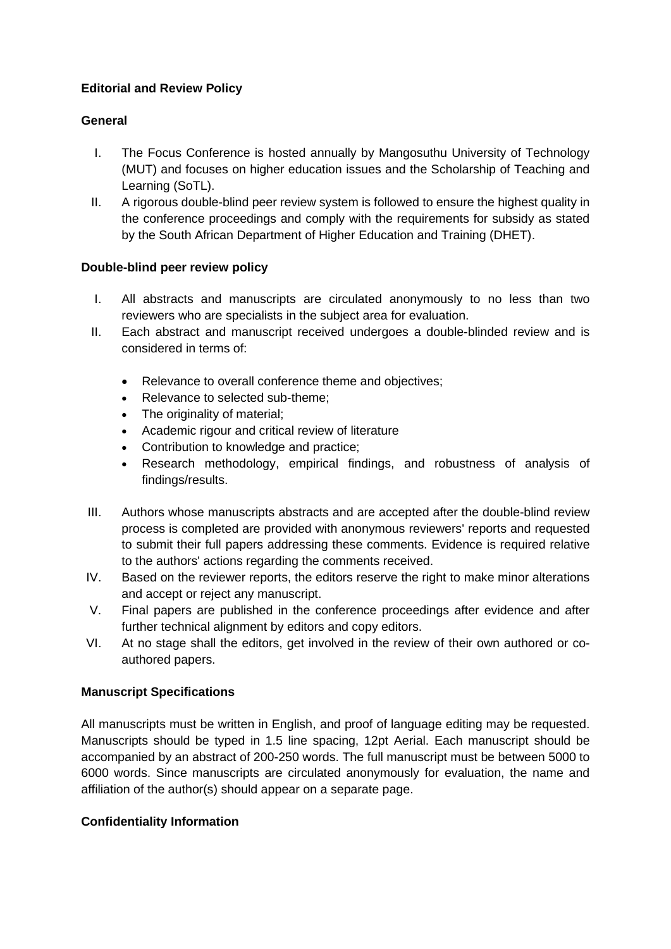# **Editorial and Review Policy**

## **General**

- I. The Focus Conference is hosted annually by Mangosuthu University of Technology (MUT) and focuses on higher education issues and the Scholarship of Teaching and Learning (SoTL).
- II. A rigorous double-blind peer review system is followed to ensure the highest quality in the conference proceedings and comply with the requirements for subsidy as stated by the South African Department of Higher Education and Training (DHET).

## **Double-blind peer review policy**

- I. All abstracts and manuscripts are circulated anonymously to no less than two reviewers who are specialists in the subject area for evaluation.
- II. Each abstract and manuscript received undergoes a double-blinded review and is considered in terms of:
	- Relevance to overall conference theme and objectives:
	- Relevance to selected sub-theme;
	- The originality of material:
	- Academic rigour and critical review of literature
	- Contribution to knowledge and practice;
	- Research methodology, empirical findings, and robustness of analysis of findings/results.
- III. Authors whose manuscripts abstracts and are accepted after the double-blind review process is completed are provided with anonymous reviewers' reports and requested to submit their full papers addressing these comments. Evidence is required relative to the authors' actions regarding the comments received.
- IV. Based on the reviewer reports, the editors reserve the right to make minor alterations and accept or reject any manuscript.
- V. Final papers are published in the conference proceedings after evidence and after further technical alignment by editors and copy editors.
- VI. At no stage shall the editors, get involved in the review of their own authored or coauthored papers.

## **Manuscript Specifications**

All manuscripts must be written in English, and proof of language editing may be requested. Manuscripts should be typed in 1.5 line spacing, 12pt Aerial. Each manuscript should be accompanied by an abstract of 200-250 words. The full manuscript must be between 5000 to 6000 words. Since manuscripts are circulated anonymously for evaluation, the name and affiliation of the author(s) should appear on a separate page.

## **Confidentiality Information**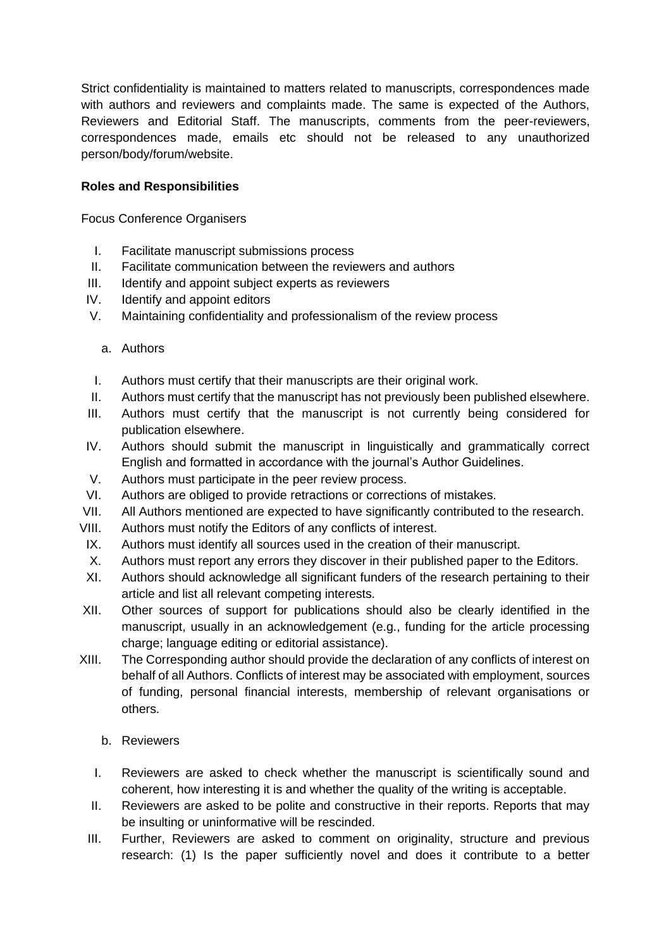Strict confidentiality is maintained to matters related to manuscripts, correspondences made with authors and reviewers and complaints made. The same is expected of the Authors, Reviewers and Editorial Staff. The manuscripts, comments from the peer-reviewers, correspondences made, emails etc should not be released to any unauthorized person/body/forum/website.

# **Roles and Responsibilities**

Focus Conference Organisers

- I. Facilitate manuscript submissions process
- II. Facilitate communication between the reviewers and authors
- III. Identify and appoint subject experts as reviewers
- IV. Identify and appoint editors
- V. Maintaining confidentiality and professionalism of the review process

#### a. Authors

- I. Authors must certify that their manuscripts are their original work.
- II. Authors must certify that the manuscript has not previously been published elsewhere.
- III. Authors must certify that the manuscript is not currently being considered for publication elsewhere.
- IV. Authors should submit the manuscript in linguistically and grammatically correct English and formatted in accordance with the journal's Author Guidelines.
- V. Authors must participate in the peer review process.
- VI. Authors are obliged to provide retractions or corrections of mistakes.
- VII. All Authors mentioned are expected to have significantly contributed to the research.
- VIII. Authors must notify the Editors of any conflicts of interest.
- IX. Authors must identify all sources used in the creation of their manuscript.
- X. Authors must report any errors they discover in their published paper to the Editors.
- XI. Authors should acknowledge all significant funders of the research pertaining to their article and list all relevant competing interests.
- XII. Other sources of support for publications should also be clearly identified in the manuscript, usually in an acknowledgement (e.g., funding for the article processing charge; language editing or editorial assistance).
- XIII. The Corresponding author should provide the declaration of any conflicts of interest on behalf of all Authors. Conflicts of interest may be associated with employment, sources of funding, personal financial interests, membership of relevant organisations or others.
	- b. Reviewers
	- I. Reviewers are asked to check whether the manuscript is scientifically sound and coherent, how interesting it is and whether the quality of the writing is acceptable.
	- II. Reviewers are asked to be polite and constructive in their reports. Reports that may be insulting or uninformative will be rescinded.
	- III. Further, Reviewers are asked to comment on originality, structure and previous research: (1) Is the paper sufficiently novel and does it contribute to a better